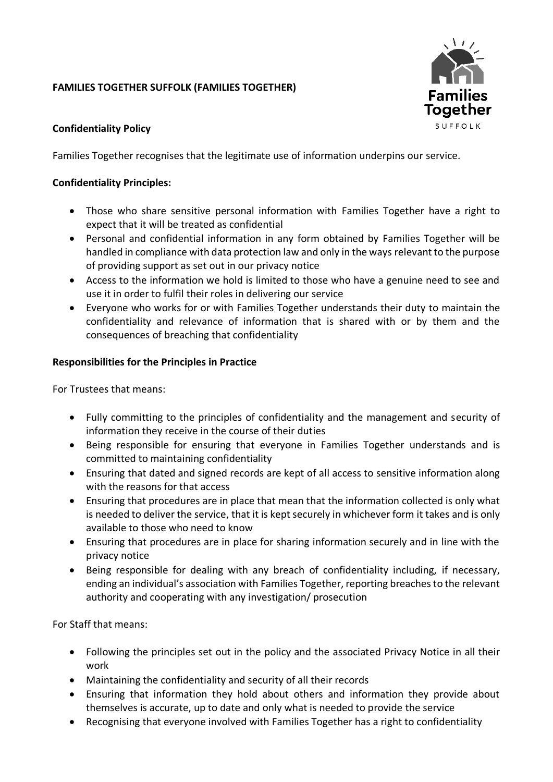# **FAMILIES TOGETHER SUFFOLK (FAMILIES TOGETHER)**



## **Confidentiality Policy**

Families Together recognises that the legitimate use of information underpins our service.

### **Confidentiality Principles:**

- Those who share sensitive personal information with Families Together have a right to expect that it will be treated as confidential
- Personal and confidential information in any form obtained by Families Together will be handled in compliance with data protection law and only in the ways relevant to the purpose of providing support as set out in our privacy notice
- Access to the information we hold is limited to those who have a genuine need to see and use it in order to fulfil their roles in delivering our service
- Everyone who works for or with Families Together understands their duty to maintain the confidentiality and relevance of information that is shared with or by them and the consequences of breaching that confidentiality

### **Responsibilities for the Principles in Practice**

For Trustees that means:

- Fully committing to the principles of confidentiality and the management and security of information they receive in the course of their duties
- Being responsible for ensuring that everyone in Families Together understands and is committed to maintaining confidentiality
- Ensuring that dated and signed records are kept of all access to sensitive information along with the reasons for that access
- Ensuring that procedures are in place that mean that the information collected is only what is needed to deliver the service, that it is kept securely in whichever form it takes and is only available to those who need to know
- Ensuring that procedures are in place for sharing information securely and in line with the privacy notice
- Being responsible for dealing with any breach of confidentiality including, if necessary, ending an individual's association with Families Together, reporting breaches to the relevant authority and cooperating with any investigation/ prosecution

For Staff that means:

- Following the principles set out in the policy and the associated Privacy Notice in all their work
- Maintaining the confidentiality and security of all their records
- Ensuring that information they hold about others and information they provide about themselves is accurate, up to date and only what is needed to provide the service
- Recognising that everyone involved with Families Together has a right to confidentiality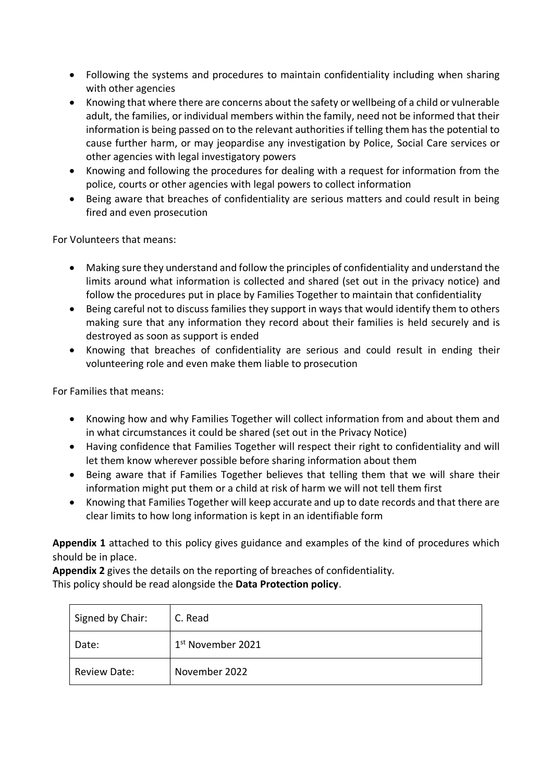- Following the systems and procedures to maintain confidentiality including when sharing with other agencies
- Knowing that where there are concerns about the safety or wellbeing of a child or vulnerable adult, the families, or individual members within the family, need not be informed that their information is being passed on to the relevant authorities if telling them has the potential to cause further harm, or may jeopardise any investigation by Police, Social Care services or other agencies with legal investigatory powers
- Knowing and following the procedures for dealing with a request for information from the police, courts or other agencies with legal powers to collect information
- Being aware that breaches of confidentiality are serious matters and could result in being fired and even prosecution

For Volunteers that means:

- Making sure they understand and follow the principles of confidentiality and understand the limits around what information is collected and shared (set out in the privacy notice) and follow the procedures put in place by Families Together to maintain that confidentiality
- Being careful not to discuss families they support in ways that would identify them to others making sure that any information they record about their families is held securely and is destroyed as soon as support is ended
- Knowing that breaches of confidentiality are serious and could result in ending their volunteering role and even make them liable to prosecution

For Families that means:

- Knowing how and why Families Together will collect information from and about them and in what circumstances it could be shared (set out in the Privacy Notice)
- Having confidence that Families Together will respect their right to confidentiality and will let them know wherever possible before sharing information about them
- Being aware that if Families Together believes that telling them that we will share their information might put them or a child at risk of harm we will not tell them first
- Knowing that Families Together will keep accurate and up to date records and that there are clear limits to how long information is kept in an identifiable form

**Appendix 1** attached to this policy gives guidance and examples of the kind of procedures which should be in place.

**Appendix 2** gives the details on the reporting of breaches of confidentiality. This policy should be read alongside the **Data Protection policy**.

| Signed by Chair:    | C. Read                       |
|---------------------|-------------------------------|
| Date:               | 1 <sup>st</sup> November 2021 |
| <b>Review Date:</b> | November 2022                 |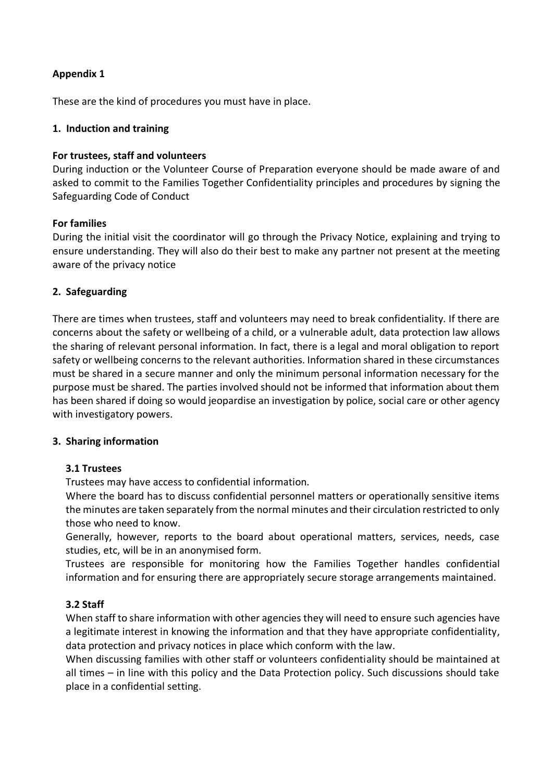## **Appendix 1**

These are the kind of procedures you must have in place.

### **1. Induction and training**

#### **For trustees, staff and volunteers**

During induction or the Volunteer Course of Preparation everyone should be made aware of and asked to commit to the Families Together Confidentiality principles and procedures by signing the Safeguarding Code of Conduct

#### **For families**

During the initial visit the coordinator will go through the Privacy Notice, explaining and trying to ensure understanding. They will also do their best to make any partner not present at the meeting aware of the privacy notice

#### **2. Safeguarding**

There are times when trustees, staff and volunteers may need to break confidentiality. If there are concerns about the safety or wellbeing of a child, or a vulnerable adult, data protection law allows the sharing of relevant personal information. In fact, there is a legal and moral obligation to report safety or wellbeing concerns to the relevant authorities. Information shared in these circumstances must be shared in a secure manner and only the minimum personal information necessary for the purpose must be shared. The parties involved should not be informed that information about them has been shared if doing so would jeopardise an investigation by police, social care or other agency with investigatory powers.

#### **3. Sharing information**

#### **3.1 Trustees**

Trustees may have access to confidential information.

Where the board has to discuss confidential personnel matters or operationally sensitive items the minutes are taken separately from the normal minutes and their circulation restricted to only those who need to know.

Generally, however, reports to the board about operational matters, services, needs, case studies, etc, will be in an anonymised form.

Trustees are responsible for monitoring how the Families Together handles confidential information and for ensuring there are appropriately secure storage arrangements maintained.

### **3.2 Staff**

When staff to share information with other agencies they will need to ensure such agencies have a legitimate interest in knowing the information and that they have appropriate confidentiality, data protection and privacy notices in place which conform with the law.

When discussing families with other staff or volunteers confidentiality should be maintained at all times – in line with this policy and the Data Protection policy. Such discussions should take place in a confidential setting.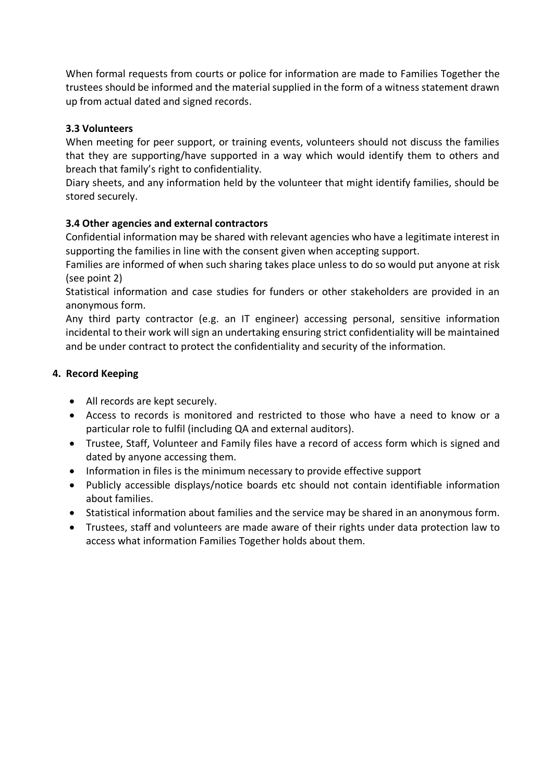When formal requests from courts or police for information are made to Families Together the trustees should be informed and the material supplied in the form of a witness statement drawn up from actual dated and signed records.

## **3.3 Volunteers**

When meeting for peer support, or training events, volunteers should not discuss the families that they are supporting/have supported in a way which would identify them to others and breach that family's right to confidentiality.

Diary sheets, and any information held by the volunteer that might identify families, should be stored securely.

# **3.4 Other agencies and external contractors**

Confidential information may be shared with relevant agencies who have a legitimate interest in supporting the families in line with the consent given when accepting support.

Families are informed of when such sharing takes place unless to do so would put anyone at risk (see point 2)

Statistical information and case studies for funders or other stakeholders are provided in an anonymous form.

Any third party contractor (e.g. an IT engineer) accessing personal, sensitive information incidental to their work will sign an undertaking ensuring strict confidentiality will be maintained and be under contract to protect the confidentiality and security of the information.

# **4. Record Keeping**

- All records are kept securely.
- Access to records is monitored and restricted to those who have a need to know or a particular role to fulfil (including QA and external auditors).
- Trustee, Staff, Volunteer and Family files have a record of access form which is signed and dated by anyone accessing them.
- Information in files is the minimum necessary to provide effective support
- Publicly accessible displays/notice boards etc should not contain identifiable information about families.
- Statistical information about families and the service may be shared in an anonymous form.
- Trustees, staff and volunteers are made aware of their rights under data protection law to access what information Families Together holds about them.